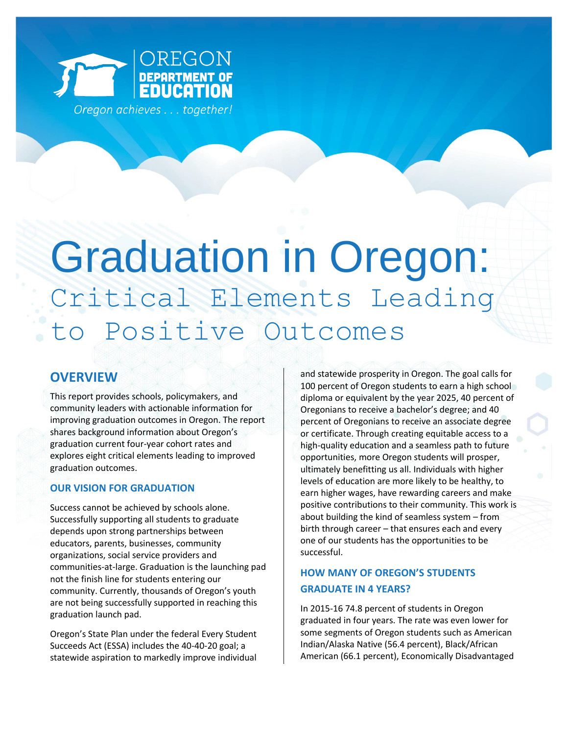

# Graduation in Oregon: Critical Elements Leading to Positive Outcomes

## **OVERVIEW**

This report provides schools, policymakers, and community leaders with actionable information for improving graduation outcomes in Oregon. The report shares background information about Oregon's graduation current four-year cohort rates and explores eight critical elements leading to improved graduation outcomes.

## **OUR VISION FOR GRADUATION**

Success cannot be achieved by schools alone. Successfully supporting all students to graduate depends upon strong partnerships between educators, parents, businesses, community organizations, social service providers and communities-at-large. Graduation is the launching pad not the finish line for students entering our community. Currently, thousands of Oregon's youth are not being successfully supported in reaching this graduation launch pad.

Oregon's State Plan under the federal Every Student Succeeds Act (ESSA) includes the 40-40-20 goal; a statewide aspiration to markedly improve individual

and statewide prosperity in Oregon. The goal calls for 100 percent of Oregon students to earn a high school diploma or equivalent by the year 2025, 40 percent of Oregonians to receive a bachelor's degree; and 40 percent of Oregonians to receive an associate degree or certificate. Through creating equitable access to a high-quality education and a seamless path to future opportunities, more Oregon students will prosper, ultimately benefitting us all. Individuals with higher levels of education are more likely to be healthy, to earn higher wages, have rewarding careers and make positive contributions to their community. This work is about building the kind of seamless system – from birth through career – that ensures each and every one of our students has the opportunities to be successful.

## **HOW MANY OF OREGON'S STUDENTS GRADUATE IN 4 YEARS?**

In 2015-16 74.8 percent of students in Oregon graduated in four years. The rate was even lower for some segments of Oregon students such as American Indian/Alaska Native (56.4 percent), Black/African American (66.1 percent), Economically Disadvantaged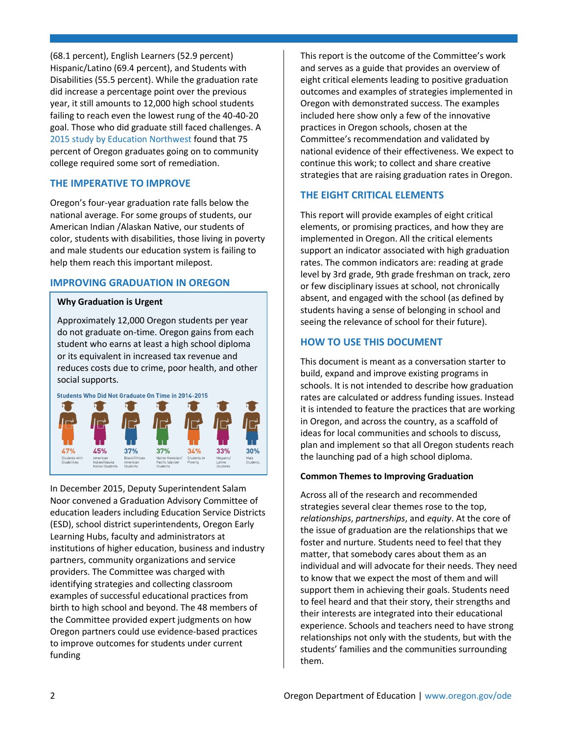(68.1 percent), English Learners (52.9 percent) Hispanic/Latino (69.4 percent), and Students with Disabilities (55.5 percent). While the graduation rate did increase a percentage point over the previous year, it still amounts to 12,000 high school students failing to reach even the lowest rung of the 40-40-20 goal. Those who did graduate still faced challenges. A [2015 study by Education Northwest f](http://relnw.educationnorthwest.org/news/high-developmental-education-rates-among-recent-high-school-grads-oregon-community-colleges)ound that 75 percent of Oregon graduates going on to community college required some sort of remediation.

#### **THE IMPERATIVE TO IMPROVE**

Oregon's four-year graduation rate falls below the national average. For some groups of students, our American Indian /Alaskan Native, our students of color, students with disabilities, those living in poverty and male students our education system is failing to help them reach this important milepost.

## **IMPROVING GRADUATION IN OREGON**

#### **Why Graduation is Urgent**

Approximately 12,000 Oregon students per year do not graduate on-time. Oregon gains from each student who earns at least a high school diploma or its equivalent in increased tax revenue and reduces costs due to crime, poor health, and other social supports.





In December 2015, Deputy Superintendent Salam Noor convened a Graduation Advisory Committee of education leaders including Education Service Districts (ESD), school district superintendents, Oregon Early Learning Hubs, faculty and administrators at institutions of higher education, business and industry partners, community organizations and service providers. The Committee was charged with identifying strategies and collecting classroom examples of successful educational practices from birth to high school and beyond. The 48 members of the Committee provided expert judgments on how Oregon partners could use evidence-based practices to improve outcomes for students under current funding

This report is the outcome of the Committee's work and serves as a guide that provides an overview of eight critical elements leading to positive graduation outcomes and examples of strategies implemented in Oregon with demonstrated success. The examples included here show only a few of the innovative practices in Oregon schools, chosen at the Committee's recommendation and validated by national evidence of their effectiveness. We expect to continue this work; to collect and share creative strategies that are raising graduation rates in Oregon.

## **THE EIGHT CRITICAL ELEMENTS**

This report will provide examples of eight critical elements, or promising practices, and how they are implemented in Oregon. All the critical elements support an indicator associated with high graduation rates. The common indicators are: reading at grade level by 3rd grade, 9th grade freshman on track, zero or few disciplinary issues at school, not chronically absent, and engaged with the school (as defined by students having a sense of belonging in school and seeing the relevance of school for their future).

## **HOW TO USE THIS DOCUMENT**

This document is meant as a conversation starter to build, expand and improve existing programs in schools. It is not intended to describe how graduation rates are calculated or address funding issues. Instead it is intended to feature the practices that are working in Oregon, and across the country, as a scaffold of ideas for local communities and schools to discuss, plan and implement so that all Oregon students reach the launching pad of a high school diploma.

## **Common Themes to Improving Graduation**

Across all of the research and recommended strategies several clear themes rose to the top, *relationships*, *partnerships*, and *equity*. At the core of the issue of graduation are the relationships that we foster and nurture. Students need to feel that they matter, that somebody cares about them as an individual and will advocate for their needs. They need to know that we expect the most of them and will support them in achieving their goals. Students need to feel heard and that their story, their strengths and their interests are integrated into their educational experience. Schools and teachers need to have strong relationships not only with the students, but with the students' families and the communities surrounding them.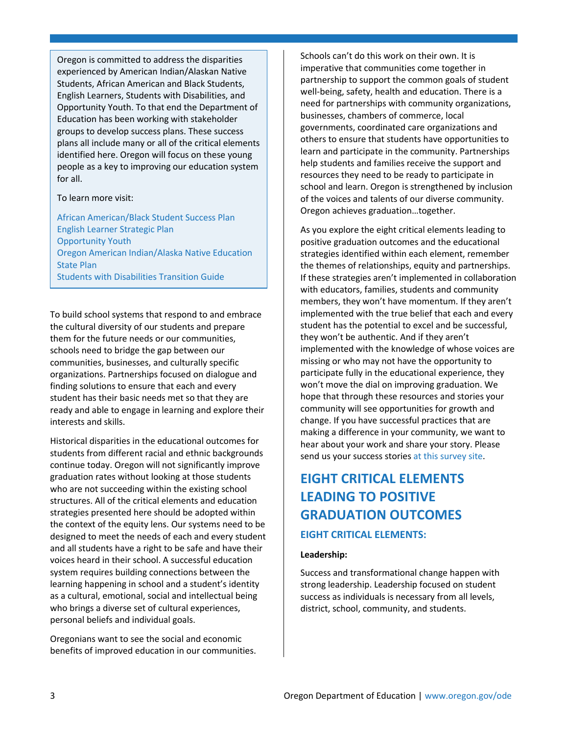Oregon is committed to address the disparities experienced by American Indian/Alaskan Native Students, African American and Black Students, English Learners, Students with Disabilities, and Opportunity Youth. To that end the Department of Education has been working with stakeholder groups to develop success plans. These success plans all include many or all of the critical elements identified here. Oregon will focus on these young people as a key to improving our education system for all.

#### To learn more visit:

[African American/Black Student Success Plan](https://www.oregon.gov/ode/students-and-family/equity/AfricanAmericanBlackStudentEducation/Documents/aabsSuccessPlan.pdf) [English Learner Strategic Plan](https://www.oregon.gov/ode/students-and-family/equity/EngLearners/Documents/ELStrategicPlanUpdate6152016.pdf) [Opportunity Youth](http://www.oregonyouthdevelopmentcouncil.org/opportunity-youth/) [Oregon American Indian/Alaska Native Education](https://www.oregon.gov/ode/students-and-family/equity/NativeAmericanEducation/Documents/Final-oregon-american-indian-alaska-native-state-plan%20Mar%202017.pdf) [State Plan](https://www.oregon.gov/ode/students-and-family/equity/NativeAmericanEducation/Documents/Final-oregon-american-indian-alaska-native-state-plan%20Mar%202017.pdf) [Students with Disabilities Transition Guide](https://www.oregon.gov/ode/students-and-family/SpecialEducation/SecondaryTransition/Documents/transitionhandbook.pdf)

To build school systems that respond to and embrace the cultural diversity of our students and prepare them for the future needs or our communities, schools need to bridge the gap between our communities, businesses, and culturally specific organizations. Partnerships focused on dialogue and finding solutions to ensure that each and every student has their basic needs met so that they are ready and able to engage in learning and explore their interests and skills.

Historical disparities in the educational outcomes for students from different racial and ethnic backgrounds continue today. Oregon will not significantly improve graduation rates without looking at those students who are not succeeding within the existing school structures. All of the critical elements and education strategies presented here should be adopted within the context of the equity lens. Our systems need to be designed to meet the needs of each and every student and all students have a right to be safe and have their voices heard in their school. A successful education system requires building connections between the learning happening in school and a student's identity as a cultural, emotional, social and intellectual being who brings a diverse set of cultural experiences, personal beliefs and individual goals.

Oregonians want to see the social and economic benefits of improved education in our communities. Schools can't do this work on their own. It is imperative that communities come together in partnership to support the common goals of student well-being, safety, health and education. There is a need for partnerships with community organizations, businesses, chambers of commerce, local governments, coordinated care organizations and others to ensure that students have opportunities to learn and participate in the community. Partnerships help students and families receive the support and resources they need to be ready to participate in school and learn. Oregon is strengthened by inclusion of the voices and talents of our diverse community. Oregon achieves graduation…together.

As you explore the eight critical elements leading to positive graduation outcomes and the educational strategies identified within each element, remember the themes of relationships, equity and partnerships. If these strategies aren't implemented in collaboration with educators, families, students and community members, they won't have momentum. If they aren't implemented with the true belief that each and every student has the potential to excel and be successful, they won't be authentic. And if they aren't implemented with the knowledge of whose voices are missing or who may not have the opportunity to participate fully in the educational experience, they won't move the dial on improving graduation. We hope that through these resources and stories your community will see opportunities for growth and change. If you have successful practices that are making a difference in your community, we want to hear about your work and share your story. Please send us your success stories [at this survey site.](https://www.surveymonkey.com/r/orgrad)

# **EIGHT CRITICAL ELEMENTS LEADING TO POSITIVE GRADUATION OUTCOMES EIGHT CRITICAL ELEMENTS:**

#### **Leadership:**

Success and transformational change happen with strong leadership. Leadership focused on student success as individuals is necessary from all levels, district, school, community, and students.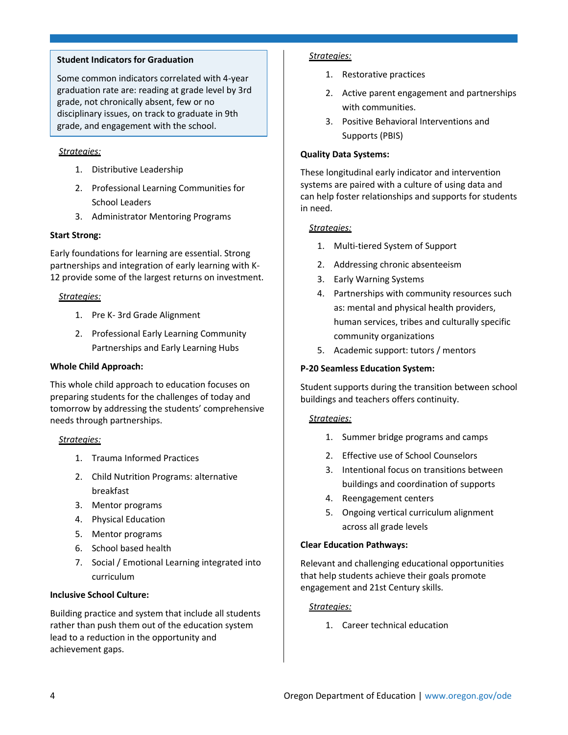#### **Student Indicators for Graduation**

Some common indicators correlated with 4-year graduation rate are: reading at grade level by 3rd grade, not chronically absent, few or no disciplinary issues, on track to graduate in 9th grade, and engagement with the school.

#### *Strategies:*

- 1. Distributive Leadership
- 2. Professional Learning Communities for School Leaders
- 3. Administrator Mentoring Programs

#### **Start Strong:**

Early foundations for learning are essential. Strong partnerships and integration of early learning with K-12 provide some of the largest returns on investment.

#### *Strategies:*

- 1. Pre K- 3rd Grade Alignment
- 2. Professional Early Learning Community Partnerships and Early Learning Hubs

#### **Whole Child Approach:**

This whole child approach to education focuses on preparing students for the challenges of today and tomorrow by addressing the students' comprehensive needs through partnerships.

#### *Strategies:*

- 1. Trauma Informed Practices
- 2. Child Nutrition Programs: alternative breakfast
- 3. Mentor programs
- 4. Physical Education
- 5. Mentor programs
- 6. School based health
- 7. Social / Emotional Learning integrated into curriculum

#### **Inclusive School Culture:**

Building practice and system that include all students rather than push them out of the education system lead to a reduction in the opportunity and achievement gaps.

#### *Strategies:*

- 1. Restorative practices
- 2. Active parent engagement and partnerships with communities.
- 3. Positive Behavioral Interventions and Supports (PBIS)

#### **Quality Data Systems:**

These longitudinal early indicator and intervention systems are paired with a culture of using data and can help foster relationships and supports for students in need.

#### *Strategies:*

- 1. Multi-tiered System of Support
- 2. Addressing chronic absenteeism
- 3. Early Warning Systems
- 4. Partnerships with community resources such as: mental and physical health providers, human services, tribes and culturally specific community organizations
- 5. Academic support: tutors / mentors

#### **P-20 Seamless Education System:**

Student supports during the transition between school buildings and teachers offers continuity.

#### *Strategies:*

- 1. Summer bridge programs and camps
- 2. Effective use of School Counselors
- 3. Intentional focus on transitions between buildings and coordination of supports
- 4. Reengagement centers
- 5. Ongoing vertical curriculum alignment across all grade levels

#### **Clear Education Pathways:**

Relevant and challenging educational opportunities that help students achieve their goals promote engagement and 21st Century skills.

#### *Strategies:*

1. Career technical education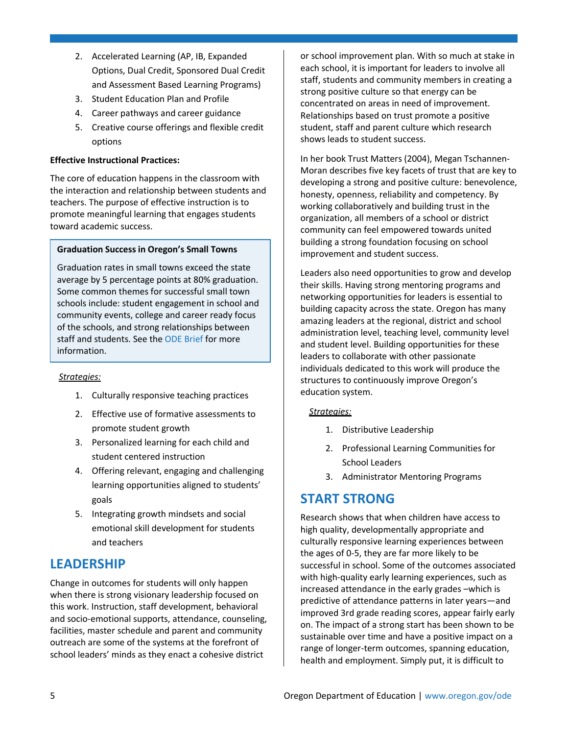- 2. Accelerated Learning (AP, IB, Expanded Options, Dual Credit, Sponsored Dual Credit and Assessment Based Learning Programs)
- 3. Student Education Plan and Profile
- 4. Career pathways and career guidance
- 5. Creative course offerings and flexible credit options

#### **Effective Instructional Practices:**

The core of education happens in the classroom with the interaction and relationship between students and teachers. The purpose of effective instruction is to promote meaningful learning that engages students toward academic success.

#### **Graduation Success in Oregon's Small Towns**

Graduation rates in small towns exceed the state average by 5 percentage points at 80% graduation. Some common themes for successful small town schools include: student engagement in school and community events, college and career ready focus of the schools, and strong relationships between staff and students. See the [ODE](https://www.oregon.gov/ode/reports-and-data/researchbriefs/Documents/Internal/Rural%20Graduation%20Brief%20v9.pdf) Brief for more information.

#### *Strategies:*

- 1. Culturally responsive teaching practices
- 2. Effective use of formative assessments to promote student growth
- 3. Personalized learning for each child and student centered instruction
- 4. Offering relevant, engaging and challenging learning opportunities aligned to students' goals
- 5. Integrating growth mindsets and social emotional skill development for students and teachers

## **LEADERSHIP**

Change in outcomes for students will only happen when there is strong visionary leadership focused on this work. Instruction, staff development, behavioral and socio-emotional supports, attendance, counseling, facilities, master schedule and parent and community outreach are some of the systems at the forefront of school leaders' minds as they enact a cohesive district

or school improvement plan. With so much at stake in each school, it is important for leaders to involve all staff, students and community members in creating a strong positive culture so that energy can be concentrated on areas in need of improvement. Relationships based on trust promote a positive student, staff and parent culture which research shows leads to student success.

In her book Trust Matters (2004), Megan Tschannen-Moran describes five key facets of trust that are key to developing a strong and positive culture: benevolence, honesty, openness, reliability and competency. By working collaboratively and building trust in the organization, all members of a school or district community can feel empowered towards united building a strong foundation focusing on school improvement and student success.

Leaders also need opportunities to grow and develop their skills. Having strong mentoring programs and networking opportunities for leaders is essential to building capacity across the state. Oregon has many amazing leaders at the regional, district and school administration level, teaching level, community level and student level. Building opportunities for these leaders to collaborate with other passionate individuals dedicated to this work will produce the structures to continuously improve Oregon's education system.

#### *Strategies:*

- 1. Distributive Leadership
- 2. Professional Learning Communities for School Leaders
- 3. Administrator Mentoring Programs

# **START STRONG**

Research shows that when children have access to high quality, developmentally appropriate and culturally responsive learning experiences between the ages of 0-5, they are far more likely to be successful in school. Some of the outcomes associated with high-quality early learning experiences, such as increased attendance in the early grades –which is predictive of attendance patterns in later years—and improved 3rd grade reading scores, appear fairly early on. The impact of a strong start has been shown to be sustainable over time and have a positive impact on a range of longer-term outcomes, spanning education, health and employment. Simply put, it is difficult to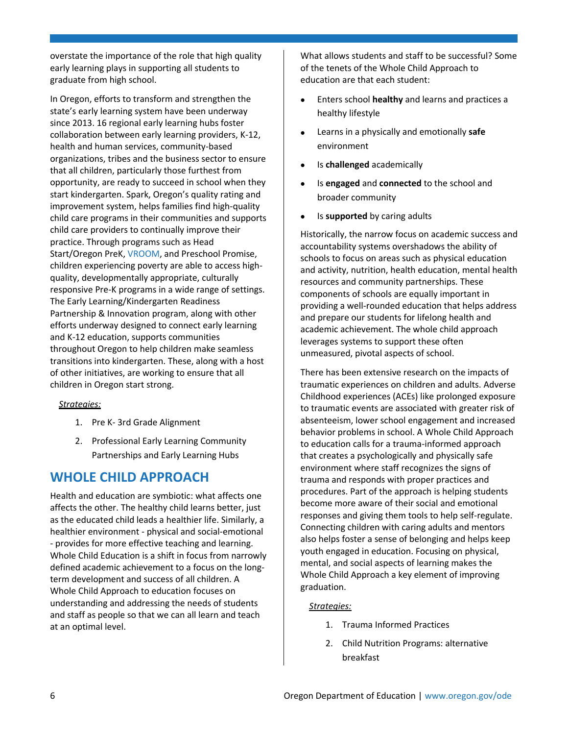overstate the importance of the role that high quality early learning plays in supporting all students to graduate from high school.

In Oregon, efforts to transform and strengthen the state's early learning system have been underway since 2013. 16 regional early learning hubs foster collaboration between early learning providers, K-12, health and human services, community-based organizations, tribes and the business sector to ensure that all children, particularly those furthest from opportunity, are ready to succeed in school when they start kindergarten. Spark, Oregon's quality rating and improvement system, helps families find high-quality child care programs in their communities and supports child care providers to continually improve their practice. Through programs such as Head Start/Oregon PreK[, VROOM,](http://joinvroom.org/) and Preschool Promise, children experiencing poverty are able to access highquality, developmentally appropriate, culturally responsive Pre-K programs in a wide range of settings. The Early Learning/Kindergarten Readiness Partnership & Innovation program, along with other efforts underway designed to connect early learning and K-12 education, supports communities throughout Oregon to help children make seamless transitions into kindergarten. These, along with a host of other initiatives, are working to ensure that all children in Oregon start strong.

#### *Strategies:*

- 1. Pre K- 3rd Grade Alignment
- 2. Professional Early Learning Community Partnerships and Early Learning Hubs

## **WHOLE CHILD APPROACH**

Health and education are symbiotic: what affects one affects the other. The healthy child learns better, just as the educated child leads a healthier life. Similarly, a healthier environment - physical and social-emotional - provides for more effective teaching and learning. Whole Child Education is a shift in focus from narrowly defined academic achievement to a focus on the longterm development and success of all children. A Whole Child Approach to education focuses on understanding and addressing the needs of students and staff as people so that we can all learn and teach at an optimal level.

What allows students and staff to be successful? Some of the tenets of the Whole Child Approach to education are that each student:

- Enters school **healthy** and learns and practices a healthy lifestyle
- Learns in a physically and emotionally **safe** environment
- Is **challenged** academically
- Is **engaged** and **connected** to the school and broader community
- Is **supported** by caring adults

Historically, the narrow focus on academic success and accountability systems overshadows the ability of schools to focus on areas such as physical education and activity, nutrition, health education, mental health resources and community partnerships. These components of schools are equally important in providing a well-rounded education that helps address and prepare our students for lifelong health and academic achievement. The whole child approach leverages systems to support these often unmeasured, pivotal aspects of school.

There has been extensive research on the impacts of traumatic experiences on children and adults. Adverse Childhood experiences (ACEs) like prolonged exposure to traumatic events are associated with greater risk of absenteeism, lower school engagement and increased behavior problems in school. A Whole Child Approach to education calls for a trauma-informed approach that creates a psychologically and physically safe environment where staff recognizes the signs of trauma and responds with proper practices and procedures. Part of the approach is helping students become more aware of their social and emotional responses and giving them tools to help self-regulate. Connecting children with caring adults and mentors also helps foster a sense of belonging and helps keep youth engaged in education. Focusing on physical, mental, and social aspects of learning makes the Whole Child Approach a key element of improving graduation.

#### *Strategies:*

- 1. Trauma Informed Practices
- 2. Child Nutrition Programs: alternative breakfast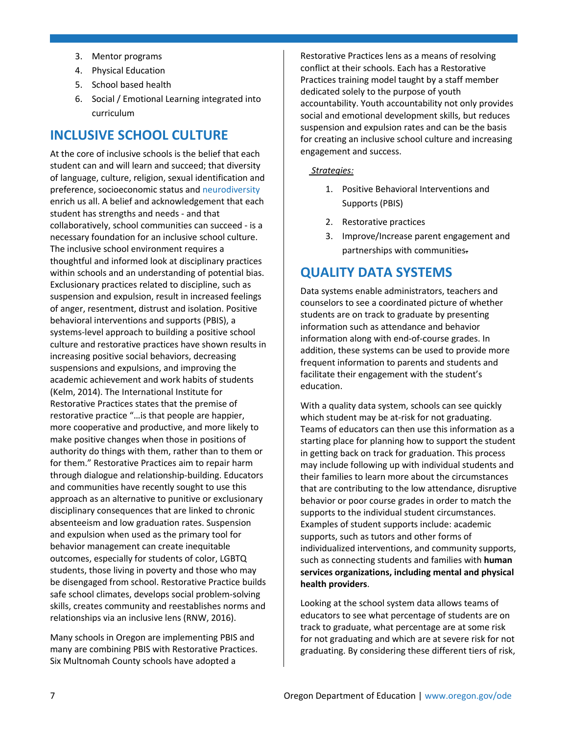- 3. Mentor programs
- 4. Physical Education
- 5. School based health
- 6. Social / Emotional Learning integrated into curriculum

# **INCLUSIVE SCHOOL CULTURE**

At the core of inclusive schools is the belief that each student can and will learn and succeed; that diversity of language, culture, religion, sexual identification and preference, socioeconomic status and neurodiversity enrich us all. A belief and acknowledgement that each student has strengths and needs - and that collaboratively, school communities can succeed - is a necessary foundation for an inclusive school culture. The inclusive school environment requires a thoughtful and informed look at disciplinary practices within schools and an understanding of potential bias. Exclusionary practices related to discipline, such as suspension and expulsion, result in increased feelings of anger, resentment, distrust and isolation. Positive behavioral interventions and supports (PBIS), a systems-level approach to building a positive school culture and restorative practices have shown results in increasing positive social behaviors, decreasing suspensions and expulsions, and improving the academic achievement and work habits of students (Kelm, 2014). The International Institute for Restorative Practices states that the premise of restorative practice "…is that people are happier, more cooperative and productive, and more likely to make positive changes when those in positions of authority do things with them, rather than to them or for them." Restorative Practices aim to repair harm through dialogue and relationship-building. Educators and communities have recently sought to use this approach as an alternative to punitive or exclusionary disciplinary consequences that are linked to chronic absenteeism and low graduation rates. Suspension and expulsion when used as the primary tool for behavior management can create inequitable outcomes, especially for students of color, LGBTQ students, those living in poverty and those who may be disengaged from school. Restorative Practice builds safe school climates, develops social problem-solving skills, creates community and reestablishes norms and relationships via an inclusive lens (RNW, 2016).

Many schools in Oregon are implementing PBIS and many are combining PBIS with Restorative Practices. Six Multnomah County schools have adopted a

Restorative Practices lens as a means of resolving conflict at their schools. Each has a Restorative Practices training model taught by a staff member dedicated solely to the purpose of youth accountability. Youth accountability not only provides social and emotional development skills, but reduces suspension and expulsion rates and can be the basis for creating an inclusive school culture and increasing engagement and success.

#### *Strategies:*

- 1. Positive Behavioral Interventions and Supports (PBIS)
- 2. Restorative practices
- 3. Improve/Increase parent engagement and partnerships with communities.

# **QUALITY DATA SYSTEMS**

Data systems enable administrators, teachers and counselors to see a coordinated picture of whether students are on track to graduate by presenting information such as attendance and behavior information along with end-of-course grades. In addition, these systems can be used to provide more frequent information to parents and students and facilitate their engagement with the student's education.

With a quality data system, schools can see quickly which student may be at-risk for not graduating. Teams of educators can then use this information as a starting place for planning how to support the student in getting back on track for graduation. This process may include following up with individual students and their families to learn more about the circumstances that are contributing to the low attendance, disruptive behavior or poor course grades in order to match the supports to the individual student circumstances. Examples of student supports include: academic supports, such as tutors and other forms of individualized interventions, and community supports, such as connecting students and families with **human services organizations, including mental and physical health providers**.

Looking at the school system data allows teams of educators to see what percentage of students are on track to graduate, what percentage are at some risk for not graduating and which are at severe risk for not graduating. By considering these different tiers of risk,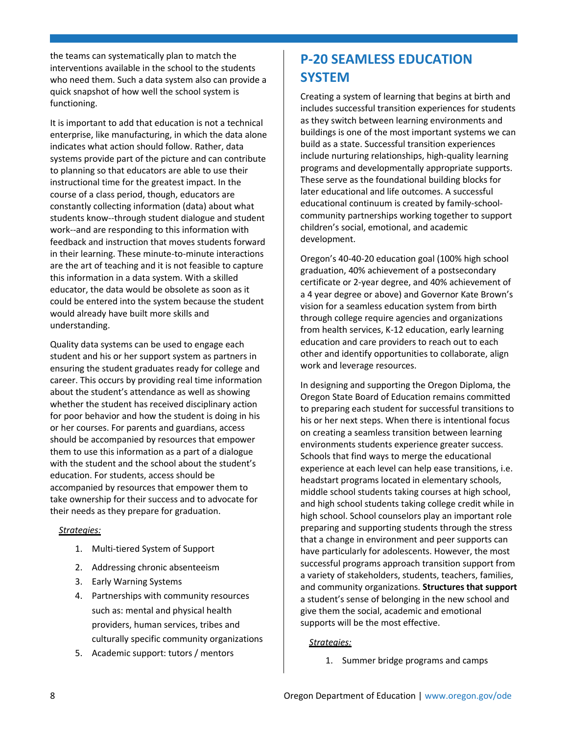the teams can systematically plan to match the interventions available in the school to the students who need them. Such a data system also can provide a quick snapshot of how well the school system is functioning.

It is important to add that education is not a technical enterprise, like manufacturing, in which the data alone indicates what action should follow. Rather, data systems provide part of the picture and can contribute to planning so that educators are able to use their instructional time for the greatest impact. In the course of a class period, though, educators are constantly collecting information (data) about what students know--through student dialogue and student work--and are responding to this information with feedback and instruction that moves students forward in their learning. These minute-to-minute interactions are the art of teaching and it is not feasible to capture this information in a data system. With a skilled educator, the data would be obsolete as soon as it could be entered into the system because the student would already have built more skills and understanding.

Quality data systems can be used to engage each student and his or her support system as partners in ensuring the student graduates ready for college and career. This occurs by providing real time information about the student's attendance as well as showing whether the student has received disciplinary action for poor behavior and how the student is doing in his or her courses. For parents and guardians, access should be accompanied by resources that empower them to use this information as a part of a dialogue with the student and the school about the student's education. For students, access should be accompanied by resources that empower them to take ownership for their success and to advocate for their needs as they prepare for graduation.

#### *Strategies:*

- 1. Multi-tiered System of Support
- 2. Addressing chronic absenteeism
- 3. Early Warning Systems
- 4. Partnerships with community resources such as: mental and physical health providers, human services, tribes and culturally specific community organizations
- 5. Academic support: tutors / mentors

# **P-20 SEAMLESS EDUCATION SYSTEM**

Creating a system of learning that begins at birth and includes successful transition experiences for students as they switch between learning environments and buildings is one of the most important systems we can build as a state. Successful transition experiences include nurturing relationships, high-quality learning programs and developmentally appropriate supports. These serve as the foundational building blocks for later educational and life outcomes. A successful educational continuum is created by family-schoolcommunity partnerships working together to support children's social, emotional, and academic development.

Oregon's 40-40-20 education goal (100% high school graduation, 40% achievement of a postsecondary certificate or 2-year degree, and 40% achievement of a 4 year degree or above) and Governor Kate Brown's vision for a seamless education system from birth through college require agencies and organizations from health services, K-12 education, early learning education and care providers to reach out to each other and identify opportunities to collaborate, align work and leverage resources.

In designing and supporting the Oregon Diploma, the Oregon State Board of Education remains committed to preparing each student for successful transitions to his or her next steps. When there is intentional focus on creating a seamless transition between learning environments students experience greater success. Schools that find ways to merge the educational experience at each level can help ease transitions, i.e. headstart programs located in elementary schools, middle school students taking courses at high school, and high school students taking college credit while in high school. School counselors play an important role preparing and supporting students through the stress that a change in environment and peer supports can have particularly for adolescents. However, the most successful programs approach transition support from a variety of stakeholders, students, teachers, families, and community organizations. **Structures that support** a student's sense of belonging in the new school and give them the social, academic and emotional supports will be the most effective.

#### *Strategies:*

1. Summer bridge programs and camps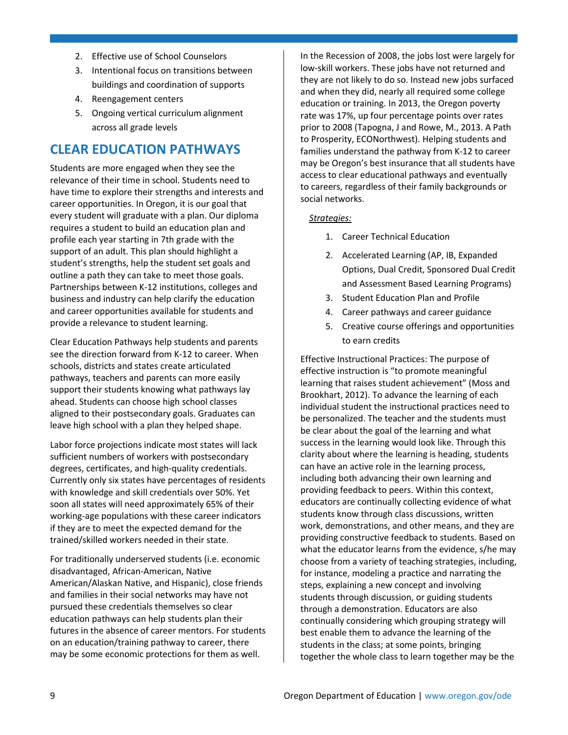- 2. Effective use of School Counselors
- 3. Intentional focus on transitions between buildings and coordination of supports
- 4. Reengagement centers
- 5. Ongoing vertical curriculum alignment across all grade levels

# **CLEAR EDUCATION PATHWAYS**

Students are more engaged when they see the relevance of their time in school. Students need to have time to explore their strengths and interests and career opportunities. In Oregon, it is our goal that every student will graduate with a plan. Our diploma requires a student to build an education plan and profile each year starting in 7th grade with the support of an adult. This plan should highlight a student's strengths, help the student set goals and outline a path they can take to meet those goals. Partnerships between K-12 institutions, colleges and business and industry can help clarify the education and career opportunities available for students and provide a relevance to student learning.

Clear Education Pathways help students and parents see the direction forward from K-12 to career. When schools, districts and states create articulated pathways, teachers and parents can more easily support their students knowing what pathways lay ahead. Students can choose high school classes aligned to their postsecondary goals. Graduates can leave high school with a plan they helped shape.

Labor force projections indicate most states will lack sufficient numbers of workers with postsecondary degrees, certificates, and high-quality credentials. Currently only six states have percentages of residents with knowledge and skill credentials over 50%. Yet soon all states will need approximately 65% of their working-age populations with these career indicators if they are to meet the expected demand for the trained/skilled workers needed in their state.

For traditionally underserved students (i.e. economic disadvantaged, African-American, Native American/Alaskan Native, and Hispanic), close friends and families in their social networks may have not pursued these credentials themselves so clear education pathways can help students plan their futures in the absence of career mentors. For students on an education/training pathway to career, there may be some economic protections for them as well.

In the Recession of 2008, the jobs lost were largely for low-skill workers. These jobs have not returned and they are not likely to do so. Instead new jobs surfaced and when they did, nearly all required some college education or training. In 2013, the Oregon poverty rate was 17%, up four percentage points over rates prior to 2008 (Tapogna, J and Rowe, M., 2013. A Path to Prosperity, ECONorthwest). Helping students and families understand the pathway from K-12 to career may be Oregon's best insurance that all students have access to clear educational pathways and eventually to careers, regardless of their family backgrounds or social networks.

#### *Strategies:*

- 1. Career Technical Education
- 2. Accelerated Learning (AP, IB, Expanded Options, Dual Credit, Sponsored Dual Credit and Assessment Based Learning Programs)
- 3. Student Education Plan and Profile
- 4. Career pathways and career guidance
- 5. Creative course offerings and opportunities to earn credits

Effective Instructional Practices: The purpose of effective instruction is "to promote meaningful learning that raises student achievement" (Moss and Brookhart, 2012). To advance the learning of each individual student the instructional practices need to be personalized. The teacher and the students must be clear about the goal of the learning and what success in the learning would look like. Through this clarity about where the learning is heading, students can have an active role in the learning process, including both advancing their own learning and providing feedback to peers. Within this context, educators are continually collecting evidence of what students know through class discussions, written work, demonstrations, and other means, and they are providing constructive feedback to students. Based on what the educator learns from the evidence, s/he may choose from a variety of teaching strategies, including, for instance, modeling a practice and narrating the steps, explaining a new concept and involving students through discussion, or guiding students through a demonstration. Educators are also continually considering which grouping strategy will best enable them to advance the learning of the students in the class; at some points, bringing together the whole class to learn together may be the